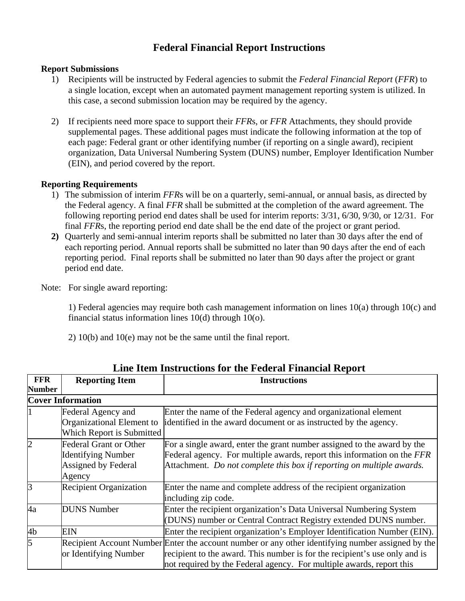## **Federal Financial Report Instructions**

## **Report Submissions**

- 1) Recipients will be instructed by Federal agencies to submit the *Federal Financial Report* (*FFR*) to a single location, except when an automated payment management reporting system is utilized. In this case, a second submission location may be required by the agency.
- 2) If recipients need more space to support their *FFR*s, or *FFR* Attachments, they should provide supplemental pages. These additional pages must indicate the following information at the top of each page: Federal grant or other identifying number (if reporting on a single award), recipient organization, Data Universal Numbering System (DUNS) number, Employer Identification Number (EIN), and period covered by the report.

## **Reporting Requirements**

- 1) The submission of interim *FFR*s will be on a quarterly, semi-annual, or annual basis, as directed by the Federal agency. A final *FFR* shall be submitted at the completion of the award agreement. The following reporting period end dates shall be used for interim reports: 3/31, 6/30, 9/30, or 12/31. For final *FFR*s, the reporting period end date shall be the end date of the project or grant period.
- **2)** Quarterly and semi-annual interim reports shall be submitted no later than 30 days after the end of each reporting period. Annual reports shall be submitted no later than 90 days after the end of each reporting period. Final reports shall be submitted no later than 90 days after the project or grant period end date.
- Note: For single award reporting:

 1) Federal agencies may require both cash management information on lines 10(a) through 10(c) and financial status information lines 10(d) through 10(o).

2) 10(b) and 10(e) may not be the same until the final report.

| Line Reni Histructions for the Federal Financial Report |                               |                                                                                                   |  |
|---------------------------------------------------------|-------------------------------|---------------------------------------------------------------------------------------------------|--|
| <b>FFR</b>                                              | <b>Reporting Item</b>         | <b>Instructions</b>                                                                               |  |
| <b>Number</b>                                           |                               |                                                                                                   |  |
|                                                         | <b>Cover Information</b>      |                                                                                                   |  |
|                                                         | Federal Agency and            | Enter the name of the Federal agency and organizational element                                   |  |
|                                                         | Organizational Element to     | identified in the award document or as instructed by the agency.                                  |  |
|                                                         | Which Report is Submitted     |                                                                                                   |  |
| $\overline{2}$                                          | <b>Federal Grant or Other</b> | For a single award, enter the grant number assigned to the award by the                           |  |
|                                                         | <b>Identifying Number</b>     | Federal agency. For multiple awards, report this information on the FFR                           |  |
|                                                         | Assigned by Federal           | Attachment. Do not complete this box if reporting on multiple awards.                             |  |
|                                                         | Agency                        |                                                                                                   |  |
| 3                                                       | <b>Recipient Organization</b> | Enter the name and complete address of the recipient organization                                 |  |
|                                                         |                               | including zip code.                                                                               |  |
| 4a                                                      | <b>DUNS</b> Number            | Enter the recipient organization's Data Universal Numbering System                                |  |
|                                                         |                               | (DUNS) number or Central Contract Registry extended DUNS number.                                  |  |
| 4 <sub>b</sub>                                          | <b>EIN</b>                    | Enter the recipient organization's Employer Identification Number (EIN).                          |  |
| $\overline{5}$                                          |                               | Recipient Account Number Enter the account number or any other identifying number assigned by the |  |
|                                                         | or Identifying Number         | recipient to the award. This number is for the recipient's use only and is                        |  |
|                                                         |                               | not required by the Federal agency. For multiple awards, report this                              |  |

**Line Item Instructions for the Federal Financial Report**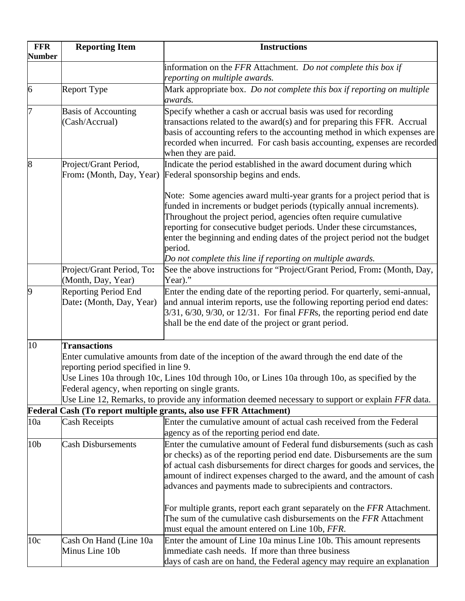| <b>FFR</b><br><b>Number</b> | <b>Reporting Item</b>                                                                                                                                                                                                                                                                                               | <b>Instructions</b>                                                                                                                                                                                                                                                                                                                                                                                                                                                                                                                                                                  |
|-----------------------------|---------------------------------------------------------------------------------------------------------------------------------------------------------------------------------------------------------------------------------------------------------------------------------------------------------------------|--------------------------------------------------------------------------------------------------------------------------------------------------------------------------------------------------------------------------------------------------------------------------------------------------------------------------------------------------------------------------------------------------------------------------------------------------------------------------------------------------------------------------------------------------------------------------------------|
|                             |                                                                                                                                                                                                                                                                                                                     | information on the FFR Attachment. Do not complete this box if<br>reporting on multiple awards.                                                                                                                                                                                                                                                                                                                                                                                                                                                                                      |
| 6                           | <b>Report Type</b>                                                                                                                                                                                                                                                                                                  | Mark appropriate box. Do not complete this box if reporting on multiple<br>awards.                                                                                                                                                                                                                                                                                                                                                                                                                                                                                                   |
| 7                           | <b>Basis of Accounting</b><br>(Cash/Accrual)                                                                                                                                                                                                                                                                        | Specify whether a cash or accrual basis was used for recording<br>transactions related to the award(s) and for preparing this FFR. Accrual<br>basis of accounting refers to the accounting method in which expenses are<br>recorded when incurred. For cash basis accounting, expenses are recorded<br>when they are paid.                                                                                                                                                                                                                                                           |
| 8                           | Project/Grant Period,<br>From: (Month, Day, Year)                                                                                                                                                                                                                                                                   | Indicate the period established in the award document during which<br>Federal sponsorship begins and ends.                                                                                                                                                                                                                                                                                                                                                                                                                                                                           |
|                             |                                                                                                                                                                                                                                                                                                                     | Note: Some agencies award multi-year grants for a project period that is<br>funded in increments or budget periods (typically annual increments).<br>Throughout the project period, agencies often require cumulative<br>reporting for consecutive budget periods. Under these circumstances,<br>enter the beginning and ending dates of the project period not the budget<br>period.                                                                                                                                                                                                |
|                             | Project/Grant Period, To:<br>(Month, Day, Year)                                                                                                                                                                                                                                                                     | Do not complete this line if reporting on multiple awards.<br>See the above instructions for "Project/Grant Period, From: (Month, Day,<br>Year)."                                                                                                                                                                                                                                                                                                                                                                                                                                    |
| 9                           | <b>Reporting Period End</b><br>Date: (Month, Day, Year)                                                                                                                                                                                                                                                             | Enter the ending date of the reporting period. For quarterly, semi-annual,<br>and annual interim reports, use the following reporting period end dates:<br>$3/31$ , $6/30$ , $9/30$ , or $12/31$ . For final FFRs, the reporting period end date<br>shall be the end date of the project or grant period.                                                                                                                                                                                                                                                                            |
| 10                          | <b>Transactions</b><br>Enter cumulative amounts from date of the inception of the award through the end date of the<br>reporting period specified in line 9.<br>Use Lines 10a through 10c, Lines 10d through 10o, or Lines 10a through 10o, as specified by the<br>Federal agency, when reporting on single grants. |                                                                                                                                                                                                                                                                                                                                                                                                                                                                                                                                                                                      |
|                             |                                                                                                                                                                                                                                                                                                                     | Use Line 12, Remarks, to provide any information deemed necessary to support or explain FFR data.<br>Federal Cash (To report multiple grants, also use FFR Attachment)                                                                                                                                                                                                                                                                                                                                                                                                               |
| 10a                         | <b>Cash Receipts</b>                                                                                                                                                                                                                                                                                                | Enter the cumulative amount of actual cash received from the Federal<br>agency as of the reporting period end date.                                                                                                                                                                                                                                                                                                                                                                                                                                                                  |
| 10 <sub>b</sub>             | <b>Cash Disbursements</b>                                                                                                                                                                                                                                                                                           | Enter the cumulative amount of Federal fund disbursements (such as cash<br>or checks) as of the reporting period end date. Disbursements are the sum<br>of actual cash disbursements for direct charges for goods and services, the<br>amount of indirect expenses charged to the award, and the amount of cash<br>advances and payments made to subrecipients and contractors.<br>For multiple grants, report each grant separately on the FFR Attachment.<br>The sum of the cumulative cash disbursements on the FFR Attachment<br>must equal the amount entered on Line 10b, FFR. |
| 10c                         | Cash On Hand (Line 10a<br>Minus Line 10b                                                                                                                                                                                                                                                                            | Enter the amount of Line 10a minus Line 10b. This amount represents<br>immediate cash needs. If more than three business<br>days of cash are on hand, the Federal agency may require an explanation                                                                                                                                                                                                                                                                                                                                                                                  |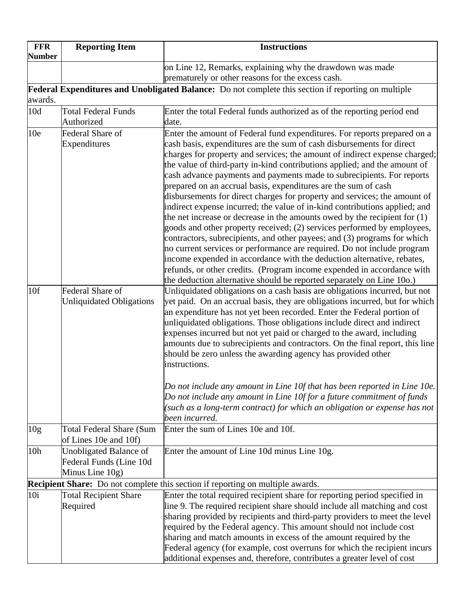| <b>FFR</b><br><b>Number</b> | <b>Reporting Item</b>                             | <b>Instructions</b>                                                                                                                               |
|-----------------------------|---------------------------------------------------|---------------------------------------------------------------------------------------------------------------------------------------------------|
|                             |                                                   | on Line 12, Remarks, explaining why the drawdown was made                                                                                         |
|                             |                                                   | prematurely or other reasons for the excess cash.                                                                                                 |
| awards.                     |                                                   | Federal Expenditures and Unobligated Balance: Do not complete this section if reporting on multiple                                               |
| 10d                         | <b>Total Federal Funds</b><br>Authorized          | Enter the total Federal funds authorized as of the reporting period end<br>date.                                                                  |
| 10 <sub>e</sub>             | Federal Share of                                  | Enter the amount of Federal fund expenditures. For reports prepared on a                                                                          |
|                             | Expenditures                                      | cash basis, expenditures are the sum of cash disbursements for direct                                                                             |
|                             |                                                   | charges for property and services; the amount of indirect expense charged;                                                                        |
|                             |                                                   | the value of third-party in-kind contributions applied; and the amount of                                                                         |
|                             |                                                   | cash advance payments and payments made to subrecipients. For reports                                                                             |
|                             |                                                   | prepared on an accrual basis, expenditures are the sum of cash                                                                                    |
|                             |                                                   | disbursements for direct charges for property and services; the amount of                                                                         |
|                             |                                                   | indirect expense incurred; the value of in-kind contributions applied; and                                                                        |
|                             |                                                   | the net increase or decrease in the amounts owed by the recipient for $(1)$                                                                       |
|                             |                                                   | goods and other property received; (2) services performed by employees,                                                                           |
|                             |                                                   | contractors, subrecipients, and other payees; and (3) programs for which                                                                          |
|                             |                                                   | no current services or performance are required. Do not include program                                                                           |
|                             |                                                   | income expended in accordance with the deduction alternative, rebates,                                                                            |
|                             |                                                   | refunds, or other credits. (Program income expended in accordance with                                                                            |
|                             |                                                   | the deduction alternative should be reported separately on Line 10o.)                                                                             |
| 10f                         | Federal Share of                                  | Unliquidated obligations on a cash basis are obligations incurred, but not                                                                        |
|                             | <b>Unliquidated Obligations</b>                   | yet paid. On an accrual basis, they are obligations incurred, but for which                                                                       |
|                             |                                                   | an expenditure has not yet been recorded. Enter the Federal portion of<br>unliquidated obligations. Those obligations include direct and indirect |
|                             |                                                   | expenses incurred but not yet paid or charged to the award, including                                                                             |
|                             |                                                   | amounts due to subrecipients and contractors. On the final report, this line                                                                      |
|                             |                                                   | should be zero unless the awarding agency has provided other                                                                                      |
|                             |                                                   | instructions.                                                                                                                                     |
|                             |                                                   |                                                                                                                                                   |
|                             |                                                   | Do not include any amount in Line $10f$ that has been reported in Line $10e$ .                                                                    |
|                             |                                                   | Do not include any amount in Line 10f for a future commitment of funds                                                                            |
|                             |                                                   | (such as a long-term contract) for which an obligation or expense has not                                                                         |
|                             |                                                   | been incurred.                                                                                                                                    |
| 10 <sub>g</sub>             | Total Federal Share (Sum<br>of Lines 10e and 10f) | Enter the sum of Lines 10e and 10f.                                                                                                               |
| 10 <sub>h</sub>             |                                                   |                                                                                                                                                   |
|                             | Unobligated Balance of<br>Federal Funds (Line 10d | Enter the amount of Line 10d minus Line 10g.                                                                                                      |
|                             | Minus Line 10g)                                   |                                                                                                                                                   |
|                             |                                                   | <b>Recipient Share:</b> Do not complete this section if reporting on multiple awards.                                                             |
| 10i                         | <b>Total Recipient Share</b>                      | Enter the total required recipient share for reporting period specified in                                                                        |
|                             | Required                                          | line 9. The required recipient share should include all matching and cost                                                                         |
|                             |                                                   | sharing provided by recipients and third-party providers to meet the level                                                                        |
|                             |                                                   | required by the Federal agency. This amount should not include cost                                                                               |
|                             |                                                   | sharing and match amounts in excess of the amount required by the                                                                                 |
|                             |                                                   | Federal agency (for example, cost overruns for which the recipient incurs                                                                         |
|                             |                                                   | additional expenses and, therefore, contributes a greater level of cost                                                                           |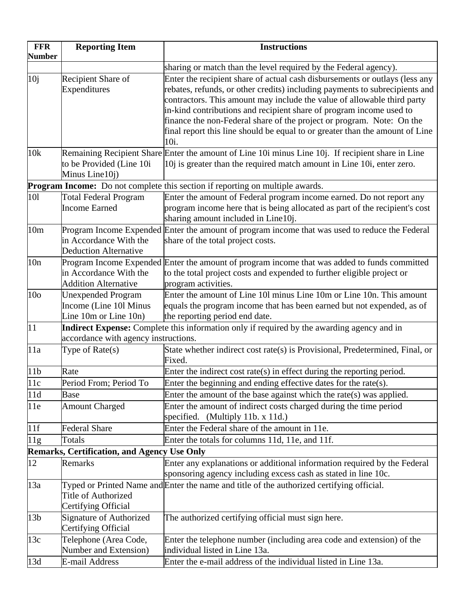| <b>FFR</b><br><b>Number</b> | <b>Reporting Item</b>                                                             | <b>Instructions</b>                                                                                                                                                                                                                                                                                                                                                                                                                                                                    |
|-----------------------------|-----------------------------------------------------------------------------------|----------------------------------------------------------------------------------------------------------------------------------------------------------------------------------------------------------------------------------------------------------------------------------------------------------------------------------------------------------------------------------------------------------------------------------------------------------------------------------------|
|                             |                                                                                   | sharing or match than the level required by the Federal agency).                                                                                                                                                                                                                                                                                                                                                                                                                       |
| 10 <sub>j</sub>             | Recipient Share of<br>Expenditures                                                | Enter the recipient share of actual cash disbursements or outlays (less any<br>rebates, refunds, or other credits) including payments to subrecipients and<br>contractors. This amount may include the value of allowable third party<br>in-kind contributions and recipient share of program income used to<br>finance the non-Federal share of the project or program. Note: On the<br>final report this line should be equal to or greater than the amount of Line<br>10 <i>i</i> . |
| 10k                         | to be Provided (Line 10i<br>Minus Line10j)                                        | Remaining Recipient Share Enter the amount of Line 10i minus Line 10j. If recipient share in Line<br>10j is greater than the required match amount in Line 10i, enter zero.                                                                                                                                                                                                                                                                                                            |
|                             |                                                                                   | <b>Program Income:</b> Do not complete this section if reporting on multiple awards.                                                                                                                                                                                                                                                                                                                                                                                                   |
| 101                         | <b>Total Federal Program</b><br><b>Income Earned</b>                              | Enter the amount of Federal program income earned. Do not report any<br>program income here that is being allocated as part of the recipient's cost<br>sharing amount included in Line10j.                                                                                                                                                                                                                                                                                             |
| 10 <sub>m</sub>             | in Accordance With the<br><b>Deduction Alternative</b>                            | Program Income Expended Enter the amount of program income that was used to reduce the Federal<br>share of the total project costs.                                                                                                                                                                                                                                                                                                                                                    |
| 10n                         | in Accordance With the<br><b>Addition Alternative</b>                             | Program Income Expended Enter the amount of program income that was added to funds committed<br>to the total project costs and expended to further eligible project or<br>program activities.                                                                                                                                                                                                                                                                                          |
| 10 <sub>o</sub>             | <b>Unexpended Program</b><br>Income (Line 101 Minus<br>Line $10m$ or Line $10n$ ) | Enter the amount of Line 101 minus Line 10m or Line 10n. This amount<br>equals the program income that has been earned but not expended, as of<br>the reporting period end date.                                                                                                                                                                                                                                                                                                       |
| 11                          | accordance with agency instructions.                                              | Indirect Expense: Complete this information only if required by the awarding agency and in                                                                                                                                                                                                                                                                                                                                                                                             |
| 11a                         | Type of $Rate(s)$                                                                 | State whether indirect cost rate(s) is Provisional, Predetermined, Final, or<br>Fixed.                                                                                                                                                                                                                                                                                                                                                                                                 |
| 11 <sub>b</sub>             | Rate                                                                              | Enter the indirect cost rate(s) in effect during the reporting period.                                                                                                                                                                                                                                                                                                                                                                                                                 |
| 11c                         | Period From; Period To                                                            | Enter the beginning and ending effective dates for the rate(s).                                                                                                                                                                                                                                                                                                                                                                                                                        |
| 11d                         | <b>Base</b>                                                                       | Enter the amount of the base against which the rate(s) was applied.                                                                                                                                                                                                                                                                                                                                                                                                                    |
| 11e                         | <b>Amount Charged</b>                                                             | Enter the amount of indirect costs charged during the time period<br>specified. (Multiply 11b. $x$ 11d.)                                                                                                                                                                                                                                                                                                                                                                               |
| 11f                         | <b>Federal Share</b>                                                              | Enter the Federal share of the amount in 11e.                                                                                                                                                                                                                                                                                                                                                                                                                                          |
| 11g                         | Totals                                                                            | Enter the totals for columns 11d, 11e, and 11f.                                                                                                                                                                                                                                                                                                                                                                                                                                        |
|                             | <b>Remarks, Certification, and Agency Use Only</b>                                |                                                                                                                                                                                                                                                                                                                                                                                                                                                                                        |
| 12                          | Remarks                                                                           | Enter any explanations or additional information required by the Federal<br>sponsoring agency including excess cash as stated in line 10c.                                                                                                                                                                                                                                                                                                                                             |
| 13a                         | <b>Title of Authorized</b><br>Certifying Official                                 | Typed or Printed Name and Enter the name and title of the authorized certifying official.                                                                                                                                                                                                                                                                                                                                                                                              |
| 13 <sub>b</sub>             | Signature of Authorized<br>Certifying Official                                    | The authorized certifying official must sign here.                                                                                                                                                                                                                                                                                                                                                                                                                                     |
| 13c                         | Telephone (Area Code,<br>Number and Extension)                                    | Enter the telephone number (including area code and extension) of the<br>individual listed in Line 13a.                                                                                                                                                                                                                                                                                                                                                                                |
| 13d                         | <b>E-mail Address</b>                                                             | Enter the e-mail address of the individual listed in Line 13a.                                                                                                                                                                                                                                                                                                                                                                                                                         |